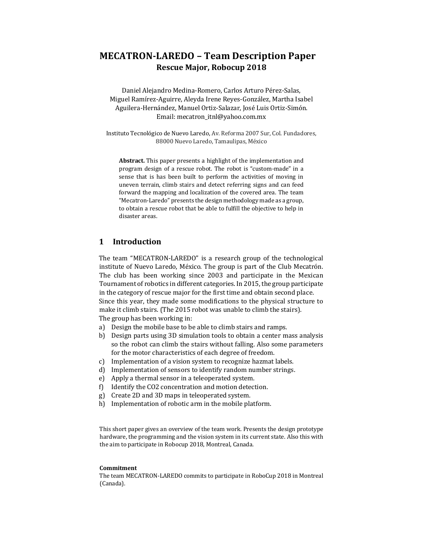# **MECATRON-LAREDO – Team Description Paper Rescue Major, Robocup 2018**

Daniel Alejandro Medina-Romero, Carlos Arturo Pérez-Salas, Miguel Ramírez-Aguirre, Aleyda Irene Reyes-González, Martha Isabel Aguilera-Hernández, Manuel Ortiz-Salazar, José Luis Ortiz-Simón. Email: mecatron\_itnl@yahoo.com.mx

Instituto Tecnológico de Nuevo Laredo, Av. Reforma 2007 Sur, Col. Fundadores, 88000 Nuevo Laredo, Tamaulipas, México

**Abstract.** This paper presents a highlight of the implementation and program design of a rescue robot. The robot is "custom-made" in a sense that is has been built to perform the activities of moving in uneven terrain, climb stairs and detect referring signs and can feed forward the mapping and localization of the covered area. The team "Mecatron-Laredo" presents the design methodology made as a group, to obtain a rescue robot that be able to fulfill the objective to help in disaster areas.

#### **1 Introduction**

The team "MECATRON-LAREDO" is a research group of the technological institute of Nuevo Laredo, México. The group is part of the Club Mecatrón. The club has been working since 2003 and participate in the Mexican Tournament of robotics in different categories. In 2015, the group participate in the category of rescue major for the first time and obtain second place. Since this year, they made some modifications to the physical structure to make it climb stairs. (The 2015 robot was unable to climb the stairs). The group has been working in:

- a) Design the mobile base to be able to climb stairs and ramps.
- b) Design parts using 3D simulation tools to obtain a center mass analysis so the robot can climb the stairs without falling. Also some parameters for the motor characteristics of each degree of freedom.
- c) Implementation of a vision system to recognize hazmat labels.
- d) Implementation of sensors to identify random number strings.
- e) Apply a thermal sensor in a teleoperated system.
- f) Identify the CO2 concentration and motion detection.
- g) Create 2D and 3D maps in teleoperated system.
- h) Implementation of robotic arm in the mobile platform.

This short paper gives an overview of the team work. Presents the design prototype hardware, the programming and the vision system in its current state. Also this with the aim to participate in Robocup 2018, Montreal, Canada.

#### **Commitment**

The team MECATRON-LAREDO commits to participate in RoboCup 2018 in Montreal (Canada).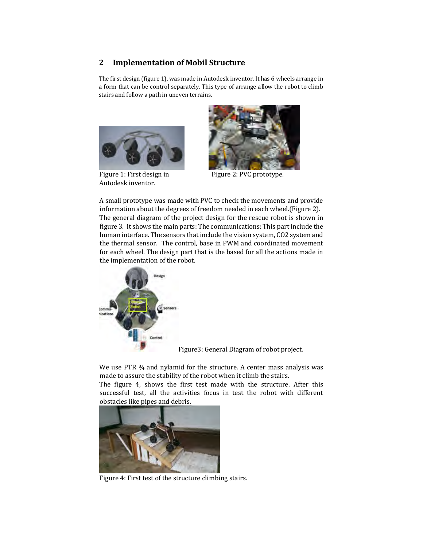#### **2 Implementation of Mobil Structure**

The first design (figure 1), was made in Autodesk inventor. It has 6 wheels arrange in a form that can be control separately. This type of arrange allow the robot to climb stairs and follow a path in uneven terrains.



Autodesk inventor.



Figure 1: First design in Figure 2: PVC prototype.

A small prototype was made with PVC to check the movements and provide information about the degrees of freedom needed in each wheel.(Figure 2). The general diagram of the project design for the rescue robot is shown in figure 3. It shows the main parts: The communications: This part include the human interface. The sensors thatinclude the vision system, CO2 system and the thermal sensor. The control, base in PWM and coordinated movement for each wheel. The design part that is the based for all the actions made in the implementation of the robot.



Figure3: General Diagram of robot project.

We use PTR  $\frac{3}{4}$  and nylamid for the structure. A center mass analysis was made to assure the stability of the robot when it climb the stairs.

The figure 4, shows the first test made with the structure. After this successful test, all the activities focus in test the robot with different obstacles like pipes and debris.



Figure 4: First test of the structure climbing stairs.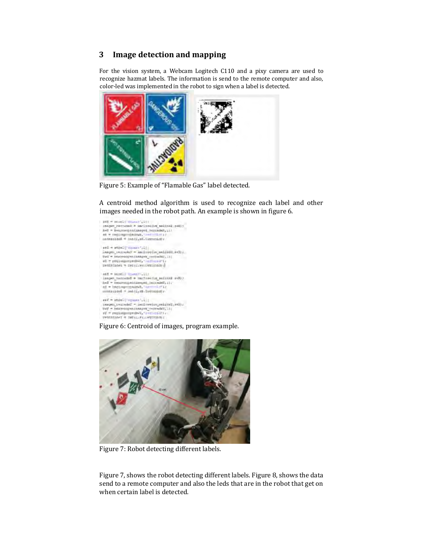#### **3 Image detection and mapping**

For the vision system, a Webcam Logitech C110 and a pixy camera are used to recognize hazmat labels. The information is send to the remote computer and also, color-led was implemented in the robot to sign when a label is detected.



Figure 5: Example of "Flamable Gas" label detected.

A centroid method algorithm is used to recognize each label and other images needed in the robot path. An example is shown in figure 6.

```
188 – stral ("Studen", 199<br>1905 – Skrivnik – imelovički malizik pak);<br>2011 – Donstavgen (skapen jepressk), 199
\begin{split} \texttt{m} = \texttt{recomp}(\texttt{m} = \texttt{m} \mid \texttt{m} \mid \texttt{m}) \\ & \texttt{untrivial} = \texttt{m}(\texttt{r}_i \mid \texttt{m}, \texttt{m} \mid \texttt{m} \mid \texttt{m}) \end{split}\begin{split} \mathfrak{so1} = \mathfrak{so1}(\mathbb{C}^{\mathbb{C}} \mathfrak{so}_{\mathbb{C}^{\mathbb{C}}}[1]) \\ \mathfrak{Longes\_coefficients} = \mathfrak{so1}(\mathfrak{so}_{\mathbb{C}}) \\ \mathfrak{so2} = \mathfrak{so2}(\mathfrak{so}_{\mathbb{C}}) \\ \mathfrak{so3} = \mathfrak{so2}(\mathfrak{so}_{\mathbb{C}}) \\ \mathfrak{so3} = \mathfrak{so2}(\mathfrak{so}_{\mathbb{C}}) \\ \mathfrak{so3} = \mathfrak{so2}(\mathfrak{so}_{\mathbb{C}}mentriades = manufirms febricain d
   ant = isself (specificate)
   imnov herratsk + mednostim sekund veli)<br>hed = hearnegenismush herratski, i);
   nd = increasurage.invk, 'server and<br>sontrologi = and (i, db. Societible) /
                                                                                                                                                                 1 + 12\begin{array}{l} \mathfrak{so}(l) = \mathfrak{so}(l) \mathop{\mathrm{argmax}}\limits_{\mathbf{v} \in \mathcal{V}} \big( \mathbb{I} \big) \, \big[ \\ \mathfrak{so}(l) = \mathfrak{so}(l) \mathfrak{so}(l) \mathfrak{so}(l) \mathfrak{so}(l) \mathfrak{so}(l) \big] \, \mathfrak{so}(l) \, \mathfrak{so}(l) \, \mathfrak{so}(l) \, \mathfrak{so}(l) \, \mathfrak{so}(l) \, \mathfrak{so}(l) \, \mathfrak{so}(l) \, \mathfrak{so}(l) \, \math\begin{split} \text{if } \mathcal{F} = \text{reduced property}(\text{Im}T_{\mathbf{z}} \cap \text{tr}(\mathcal{F} \subseteq \mathbb{R}^{d}) \text{)} \\ \text{if } \mathcal{F} \in \text{Tr}(\text{Im}T \cap \mathcal{F} \subseteq \mathbb{R}^{d}) \text{ if } \mathcal{F} \in \text{Tr}(\text{Im}T \cap \mathcal{F} \subseteq \mathbb{R}^{d}) \text{ if } \mathcal{F} \in \text{Tr}(\text{Im}T \cap \mathcal{F} \subseteq \mathbb{R}^{d}) \text{ if } \mathcal{F} \in \text{Tr}(\text{Im}T \
```
Figure 6: Centroid of images, program example.



Figure 7: Robot detecting different labels.

Figure 7, shows the robot detecting different labels. Figure 8, shows the data send to a remote computer and also the leds that are in the robot that get on when certain label is detected.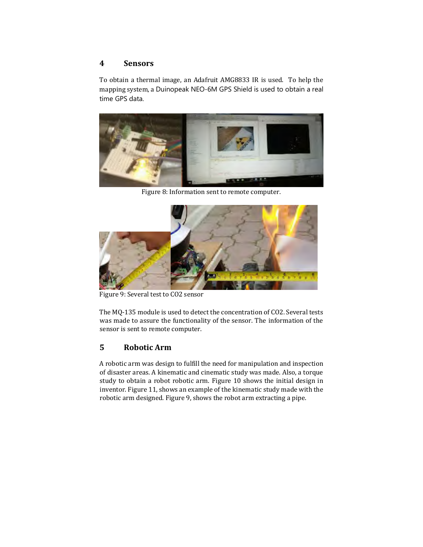#### **4 Sensors**

To obtain a thermal image, an Adafruit AMG8833 IR is used. To help the mapping system, a Duinopeak NEO-6M GPS Shield is used to obtain a real time GPS data.



Figure 8: Information sent to remote computer.



Figure 9: Several test to CO2 sensor

The MQ-135 module is used to detect the concentration of CO2. Several tests was made to assure the functionality of the sensor. The information of the sensor is sent to remote computer.

## **5 Robotic Arm**

A robotic arm was design to fulfill the need for manipulation and inspection of disaster areas. A kinematic and cinematic study was made. Also, a torque study to obtain a robot robotic arm. Figure 10 shows the initial design in inventor. Figure 11, shows an example of the kinematic study made with the robotic arm designed. Figure 9, shows the robot arm extracting a pipe.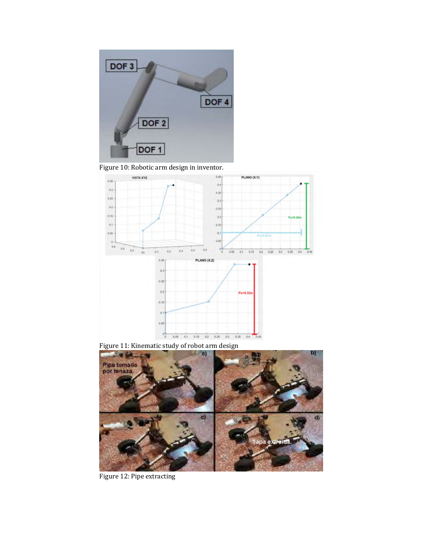

Figure 10: Robotic arm design in inventor.





Figure 12: Pipe extracting